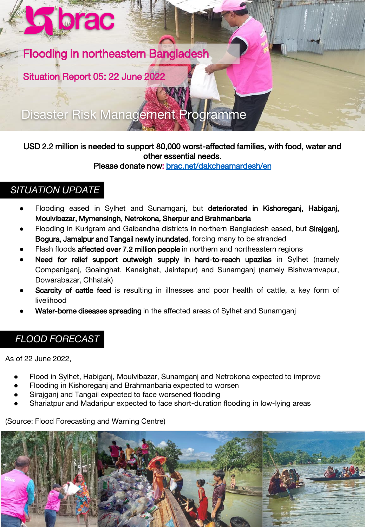

Situation Report 05: 22 June 2022

**Norac** 

Disaster Risk Management Programme

#### USD 2.2 million is needed to support 80,000 worst-affected families, with food, water and other essential needs.

Please donate now: [brac.net/dakcheamardesh/en](https://brac.net/dakcheamardesh/en/)

# *SITUATION UPDATE*

- Flooding eased in Sylhet and Sunamganj, but deteriorated in Kishoreganj, Habiganj, Moulvibazar, Mymensingh, Netrokona, Sherpur and Brahmanbaria
- Flooding in Kurigram and Gaibandha districts in northern Bangladesh eased, but Sirajganj, Bogura, Jamalpur and Tangail newly inundated, forcing many to be stranded
- Flash floods affected over 7.2 million people in northern and northeastern regions
- Need for relief support outweigh supply in hard-to-reach upazilas in Sylhet (namely Companiganj, Goainghat, Kanaighat, Jaintapur) and Sunamganj (namely Bishwamvapur, Dowarabazar, Chhatak)
- Scarcity of cattle feed is resulting in illnesses and poor health of cattle, a key form of livelihood
- Water-borne diseases spreading in the affected areas of Sylhet and Sunamganj

## *FLOOD FORECAST*

As of 22 June 2022,

- Flood in Sylhet, Habiganj, Moulvibazar, Sunamganj and Netrokona expected to improve
- Flooding in Kishoreganj and Brahmanbaria expected to worsen
- Sirajganj and Tangail expected to face worsened flooding
- Shariatpur and Madaripur expected to face short-duration flooding in low-lying areas

(Source: Flood Forecasting and Warning Centre)

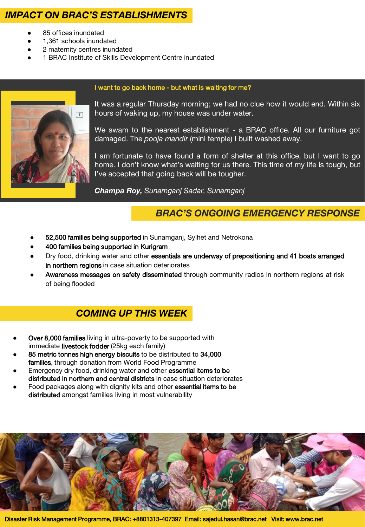## *IMPACT ON BRAC'S ESTABLISHMENTS*

- 85 offices inundated
- 1.361 schools inundated
- 2 maternity centres inundated
- 1 BRAC Institute of Skills Development Centre inundated



I want to go back home - but what is waiting for me?

It was a regular Thursday morning; we had no clue how it would end. Within six hours of waking up, my house was under water.

We swam to the nearest establishment - a BRAC office. All our furniture got damaged. The *pooja mandir* (mini temple) I built washed away.

I am fortunate to have found a form of shelter at this office, but I want to go home. I don't know what's waiting for us there. This time of my life is tough, but I've accepted that going back will be tougher.

*Champa Roy, Sunamganj Sadar, Sunamganj*

## *BRAC'S ONGOING EMERGENCY RESPONSE*

- 52,500 families being supported in Sunamganj, Sylhet and Netrokona
- 400 families being supported in Kurigram
- Dry food, drinking water and other essentials are underway of prepositioning and 41 boats arranged in northern regions in case situation deteriorates
- Awareness messages on safety disseminated through community radios in northern regions at risk of being flooded

## *COMING UP THIS WEEK*

- Over 8,000 families living in ultra-poverty to be supported with immediate livestock fodder (25kg each family)
- 85 metric tonnes high energy biscuits to be distributed to 34,000 families, through donation from World Food Programme
- Emergency dry food, drinking water and other essential items to be distributed in northern and central districts in case situation deteriorates
- Food packages along with dignity kits and other essential items to be distributed amongst families living in most vulnerability